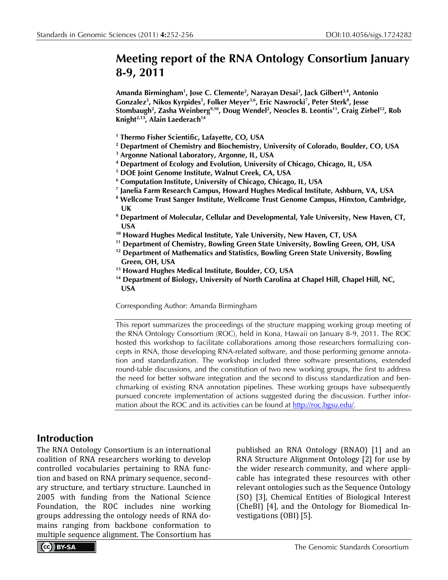## **Meeting report of the RNA Ontology Consortium January 8-9, 2011**

**Amanda Birmingham1 , Jose C. Clemente2 , Narayan Desai3 , Jack Gilbert3,4, Antonio Gonzalez2 , Nikos Kyrpides5 , Folker Meyer3,6, Eric Nawrocki7 , Peter Sterk8 , Jesse Stombaugh2 , Zasha Weinberg9,10 , Doug Wendel2 , Neocles B. Leontis11, Craig Zirbel12, Rob Knight2,13, Alain Laederach14**

- **<sup>1</sup> Thermo Fisher Scientific, Lafayette, CO, USA**
- **<sup>2</sup> Department of Chemistry and Biochemistry, University of Colorado, Boulder, CO, USA**
- **<sup>3</sup> Argonne National Laboratory, Argonne, IL, USA**
- **<sup>4</sup> Department of Ecology and Evolution, University of Chicago, Chicago, IL, USA**
- **<sup>5</sup> DOE Joint Genome Institute, Walnut Creek, CA, USA**
- **<sup>6</sup> Computation Institute, University of Chicago, Chicago, IL, USA**
- **<sup>7</sup> Janelia Farm Research Campus, Howard Hughes Medical Institute, Ashburn, VA, USA**
- **<sup>8</sup> Wellcome Trust Sanger Institute, Wellcome Trust Genome Campus, Hinxton, Cambridge, UK**
- **<sup>9</sup> Department of Molecular, Cellular and Developmental, Yale University, New Haven, CT, USA**
- **<sup>10</sup> Howard Hughes Medical Institute, Yale University, New Haven, CT, USA**
- **<sup>11</sup> Department of Chemistry, Bowling Green State University, Bowling Green, OH, USA**
- **<sup>12</sup> Department of Mathematics and Statistics, Bowling Green State University, Bowling Green, OH, USA**
- **<sup>13</sup> Howard Hughes Medical Institute, Boulder, CO, USA**
- **<sup>14</sup> Department of Biology, University of North Carolina at Chapel Hill, Chapel Hill, NC, USA**

Corresponding Author: Amanda Birmingham

This report summarizes the proceedings of the structure mapping working group meeting of the RNA Ontology Consortium (ROC), held in Kona, Hawaii on January 8-9, 2011. The ROC hosted this workshop to facilitate collaborations among those researchers formalizing concepts in RNA, those developing RNA-related software, and those performing genome annotation and standardization. The workshop included three software presentations, extended round-table discussions, and the constitution of two new working groups, the first to address the need for better software integration and the second to discuss standardization and benchmarking of existing RNA annotation pipelines. These working groups have subsequently pursued concrete implementation of actions suggested during the discussion. Further information about the ROC and its activities can be found at [http://roc.bgsu.edu/.](http://roc.bgsu.edu/)

#### **Introduction**

The RNA Ontology Consortium is an international coalition of RNA researchers working to develop controlled vocabularies pertaining to RNA function and based on RNA primary sequence, secondary structure, and tertiary structure. Launched in 2005 with funding from the National Science Foundation, the ROC includes nine working groups addressing the ontology needs of RNA domains ranging from backbone conformation to multiple sequence alignment. The Consortium has

published an RNA Ontology (RNAO) [1] and an RNA Structure Alignment Ontology [2] for use by the wider research community, and where applicable has integrated these resources with other relevant ontologies such as the Sequence Ontology (SO) [3], Chemical Entities of Biological Interest (CheBI) [4], and the Ontology for Biomedical Investigations (OBI) [5].

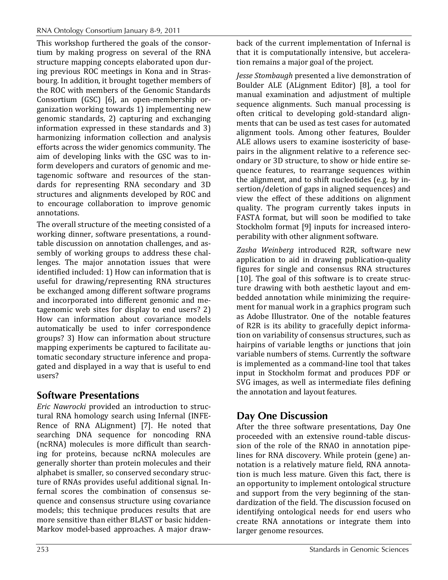This workshop furthered the goals of the consortium by making progress on several of the RNA structure mapping concepts elaborated upon during previous ROC meetings in Kona and in Strasbourg. In addition, it brought together members of the ROC with members of the Genomic Standards Consortium (GSC) [6], an open-membership organization working towards 1) implementing new genomic standards, 2) capturing and exchanging information expressed in these standards and 3) harmonizing information collection and analysis efforts across the wider genomics community. The aim of developing links with the GSC was to inform developers and curators of genomic and metagenomic software and resources of the standards for representing RNA secondary and 3D structures and alignments developed by ROC and to encourage collaboration to improve genomic annotations.

The overall structure of the meeting consisted of a working dinner, software presentations, a roundtable discussion on annotation challenges, and assembly of working groups to address these challenges. The major annotation issues that were identified included: 1) How can information that is useful for drawing/representing RNA structures be exchanged among different software programs and incorporated into different genomic and metagenomic web sites for display to end users? 2) How can information about covariance models automatically be used to infer correspondence groups? 3) How can information about structure mapping experiments be captured to facilitate automatic secondary structure inference and propagated and displayed in a way that is useful to end users?

### **Software Presentations**

*Eric Nawrocki* provided an introduction to structural RNA homology search using Infernal (INFE-Rence of RNA ALignment) [7]. He noted that searching DNA sequence for noncoding RNA (ncRNA) molecules is more difficult than searching for proteins, because ncRNA molecules are generally shorter than protein molecules and their alphabet is smaller, so conserved secondary structure of RNAs provides useful additional signal. Infernal scores the combination of consensus sequence and consensus structure using covariance models; this technique produces results that are more sensitive than either BLAST or basic hidden-Markov model-based approaches. A major draw-

back of the current implementation of Infernal is that it is computationally intensive, but acceleration remains a major goal of the project.

*Jesse Stombaugh* presented a live demonstration of Boulder ALE (ALignment Editor) [8], a tool for manual examination and adjustment of multiple sequence alignments. Such manual processing is often critical to developing gold-standard alignments that can be used as test cases for automated alignment tools. Among other features, Boulder ALE allows users to examine isostericity of basepairs in the alignment relative to a reference secondary or 3D structure, to show or hide entire sequence features, to rearrange sequences within the alignment, and to shift nucleotides (e.g. by insertion/deletion of gaps in aligned sequences) and view the effect of these additions on alignment quality. The program currently takes inputs in FASTA format, but will soon be modified to take Stockholm format [9] inputs for increased interoperability with other alignment software.

*Zasha Weinberg* introduced R2R, software new application to aid in drawing publication-quality figures for single and consensus RNA structures [10]. The goal of this software is to create structure drawing with both aesthetic layout and embedded annotation while minimizing the requirement for manual work in a graphics program such as Adobe Illustrator. One of the notable features of R2R is its ability to gracefully depict information on variability of consensus structures, such as hairpins of variable lengths or junctions that join variable numbers of stems. Currently the software is implemented as a command-line tool that takes input in Stockholm format and produces PDF or SVG images, as well as intermediate files defining the annotation and layout features.

## **Day One Discussion**

After the three software presentations, Day One proceeded with an extensive round-table discussion of the role of the RNAO in annotation pipelines for RNA discovery. While protein (gene) annotation is a relatively mature field, RNA annotation is much less mature. Given this fact, there is an opportunity to implement ontological structure and support from the very beginning of the standardization of the field. The discussion focused on identifying ontological needs for end users who create RNA annotations or integrate them into larger genome resources.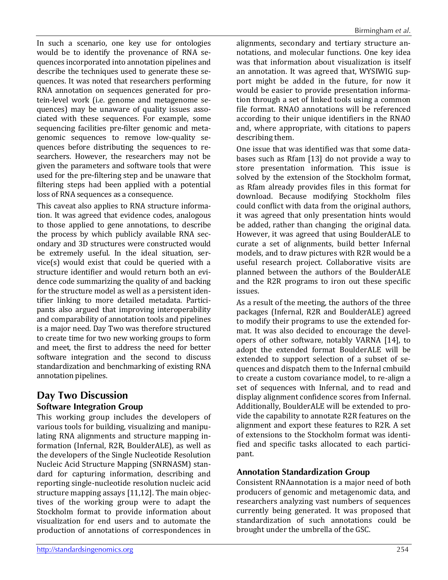In such a scenario, one key use for ontologies would be to identify the provenance of RNA sequences incorporated into annotation pipelines and describe the techniques used to generate these sequences. It was noted that researchers performing RNA annotation on sequences generated for protein-level work (i.e. genome and metagenome sequences) may be unaware of quality issues associated with these sequences. For example, some sequencing facilities pre-filter genomic and metagenomic sequences to remove low-quality sequences before distributing the sequences to researchers. However, the researchers may not be given the parameters and software tools that were used for the pre-filtering step and be unaware that filtering steps had been applied with a potential loss of RNA sequences as a consequence.

This caveat also applies to RNA structure information. It was agreed that evidence codes, analogous to those applied to gene annotations, to describe the process by which publicly available RNA secondary and 3D structures were constructed would be extremely useful. In the ideal situation, service(s) would exist that could be queried with a structure identifier and would return both an evidence code summarizing the quality of and backing for the structure model as well as a persistent identifier linking to more detailed metadata. Participants also argued that improving interoperability and comparability of annotation tools and pipelines is a major need. Day Two was therefore structured to create time for two new working groups to form and meet, the first to address the need for better software integration and the second to discuss standardization and benchmarking of existing RNA annotation pipelines.

### **Day Two Discussion Software Integration Group**

This working group includes the developers of various tools for building, visualizing and manipulating RNA alignments and structure mapping information (Infernal, R2R, BoulderALE), as well as the developers of the Single Nucleotide Resolution Nucleic Acid Structure Mapping (SNRNASM) standard for capturing information, describing and reporting single-nucleotide resolution nucleic acid structure mapping assays [11,12]. The main objectives of the working group were to adapt the Stockholm format to provide information about visualization for end users and to automate the production of annotations of correspondences in

alignments, secondary and tertiary structure annotations, and molecular functions. One key idea was that information about visualization is itself an annotation. It was agreed that, WYSIWIG support might be added in the future, for now it would be easier to provide presentation information through a set of linked tools using a common file format. RNAO annotations will be referenced according to their unique identifiers in the RNAO and, where appropriate, with citations to papers describing them.

One issue that was identified was that some databases such as Rfam [13] do not provide a way to store presentation information. This issue is solved by the extension of the Stockholm format, as Rfam already provides files in this format for download. Because modifying Stockholm files could conflict with data from the original authors, it was agreed that only presentation hints would be added, rather than changing the original data. However, it was agreed that using BoulderALE to curate a set of alignments, build better Infernal models, and to draw pictures with R2R would be a useful research project. Collaborative visits are planned between the authors of the BoulderALE and the R2R programs to iron out these specific issues.

As a result of the meeting, the authors of the three packages (Infernal, R2R and BoulderALE) agreed to modify their programs to use the extended format. It was also decided to encourage the developers of other software, notably VARNA [14], to adopt the extended format BoulderALE will be extended to support selection of a subset of sequences and dispatch them to the Infernal cmbuild to create a custom covariance model, to re-align a set of sequences with Infernal, and to read and display alignment confidence scores from Infernal. Additionally, BoulderALE will be extended to provide the capability to annotate R2R features on the alignment and export these features to R2R. A set of extensions to the Stockholm format was identified and specific tasks allocated to each participant.

#### **Annotation Standardization Group**

Consistent RNAannotation is a major need of both producers of genomic and metagenomic data, and researchers analyzing vast numbers of sequences currently being generated. It was proposed that standardization of such annotations could be brought under the umbrella of the GSC.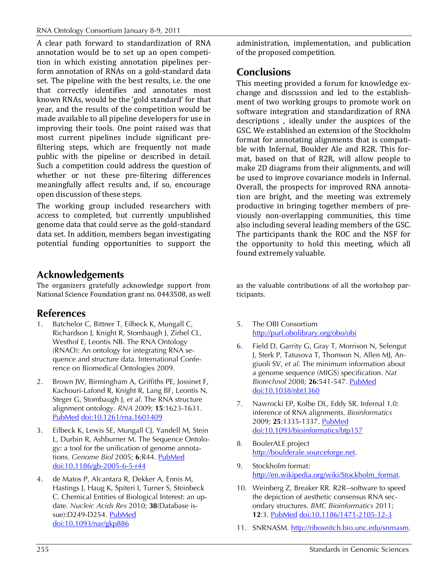A clear path forward to standardization of RNA annotation would be to set up an open competition in which existing annotation pipelines perform annotation of RNAs on a gold-standard data set. The pipeline with the best results, i.e. the one that correctly identifies and annotates most known RNAs, would be the 'gold standard' for that year, and the results of the competition would be made available to all pipeline developers for use in improving their tools. One point raised was that most current pipelines include significant prefiltering steps, which are frequently not made public with the pipeline or described in detail. Such a competition could address the question of whether or not these pre-filtering differences meaningfully affect results and, if so, encourage open discussion of these steps.

The working group included researchers with access to completed, but currently unpublished genome data that could serve as the gold-standard data set. In addition, members began investigating potential funding opportunities to support the

### **Acknowledgements**

The organizers gratefully acknowledge support from National Science Foundation grant no. 0443508, as well

### **References**

- 1. Batchelor C, Bittner T, Eilbeck K, Mungall C, Richardson J, Knight R, Stombaugh J, Zirbel CL, Westhof E, Leontis NB. The RNA Ontology (RNAO): An ontology for integrating RNA sequence and structure data. International Conference on Biomedical Ontologies 2009.
- 2. Brown JW, Birmingham A, Griffiths PE, Jossinet F, Kachouri-Lafond R, Knight R, Lang BF, Leontis N, Steger G, Stombaugh J, *et al*. The RNA structure alignment ontology. *RNA* 2009; **15**:1623-1631[.](http://www.ncbi.nlm.nih.gov/entrez/query.fcgi?cmd=Retrieve&db=PubMed&list_uids=19622678&dopt=Abstract) [PubMed](http://www.ncbi.nlm.nih.gov/entrez/query.fcgi?cmd=Retrieve&db=PubMed&list_uids=19622678&dopt=Abstract) [doi:10.1261/rna.1601409](http://dx.doi.org/10.1261/rna.1601409)
- 3. Eilbeck K, Lewis SE, Mungall CJ, Yandell M, Stein L, Durbin R, Ashburner M. The Sequence Ontology: a tool for the unification of genome annotations. *Genome Biol* 2005; **6**:R44. [PubMed](http://www.ncbi.nlm.nih.gov/entrez/query.fcgi?cmd=Retrieve&db=PubMed&list_uids=15892872&dopt=Abstract) [doi:10.1186/gb-2005-6-5-r44](http://dx.doi.org/10.1186/gb-2005-6-5-r44)
- 4. de Matos P, Alcantara R, Dekker A, Ennis M, Hastings J, Haug K, Spiteri I, Turner S, Steinbeck C. Chemical Entities of Biological Interest: an update. *Nucleic Acids Res* 2010; **38**(Database is-sue):D249-D254. [PubMed](http://www.ncbi.nlm.nih.gov/entrez/query.fcgi?cmd=Retrieve&db=PubMed&list_uids=19854951&dopt=Abstract) [doi:10.1093/nar/gkp886](http://dx.doi.org/10.1093/nar/gkp886)

administration, implementation, and publication of the proposed competition.

# **Conclusions**

This meeting provided a forum for knowledge exchange and discussion and led to the establishment of two working groups to promote work on software integration and standardization of RNA descriptions , ideally under the auspices of the GSC. We established an extension of the Stockholm format for annotating alignments that is compatible with Infernal, Boulder Ale and R2R. This format, based on that of R2R, will allow people to make 2D diagrams from their alignments, and will be used to improve covariance models in Infernal. Overall, the prospects for improved RNA annotation are bright, and the meeting was extremely productive in bringing together members of previously non-overlapping communities, this time also including several leading members of the GSC. The participants thank the ROC and the NSF for the opportunity to hold this meeting, which all found extremely valuable.

as the valuable contributions of all the workshop participants.

- 5. The OBI Consortium <http://purl.obolibrary.org/obo/obi>
- 6. Field D, Garrity G, Gray T, Morrison N, Selengut J, Sterk P, Tatusova T, Thomson N, Allen MJ, Angiuoli SV, *et al*. The minimum information about a genome sequence (MIGS) specification. *Nat Biotechnol* 2008; **26**:541-547. [PubMed](http://www.ncbi.nlm.nih.gov/entrez/query.fcgi?cmd=Retrieve&db=PubMed&list_uids=18464787&dopt=Abstract) [doi:10.1038/nbt1360](http://dx.doi.org/10.1038/nbt1360)
- 7. Nawrocki EP, Kolbe DL, Eddy SR. Infernal 1.0: inference of RNA alignments. *Bioinformatics* 2009; **25**:1335-1337. [PubMed](http://www.ncbi.nlm.nih.gov/entrez/query.fcgi?cmd=Retrieve&db=PubMed&list_uids=19307242&dopt=Abstract) [doi:10.1093/bioinformatics/btp157](http://dx.doi.org/10.1093/bioinformatics/btp157)
- 8. BoulerALE project [http://boulderale.sourceforge.net.](http://boulderale.sourceforge.net/)
- 9. Stockholm format: [http://en.wikipedia.org/wiki/Stockholm\\_format.](http://en.wikipedia.org/wiki/Stockholm_format)
- 10. Weinberg Z, Breaker RR. R2R--software to speed the depiction of aesthetic consensus RNA secondary structures. *BMC Bioinformatics* 2011; **12**:3. [PubMed](http://www.ncbi.nlm.nih.gov/entrez/query.fcgi?cmd=Retrieve&db=PubMed&list_uids=21205310&dopt=Abstract) [doi:10.1186/1471-2105-12-3](http://dx.doi.org/10.1186/1471-2105-12-3)
- 11. SNRNASM. [http://ribosnitch.bio.unc.edu/snrnasm.](http://ribosnitch.bio.unc.edu/snrnasm)